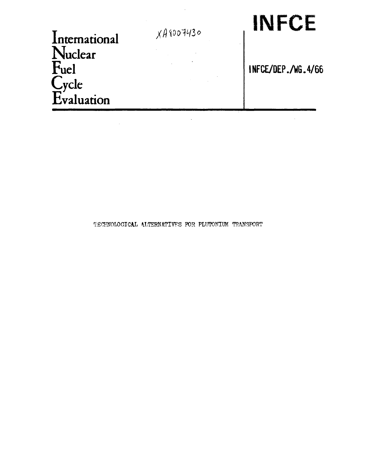| International |  |
|---------------|--|
| Nuclear       |  |
| Fuel          |  |
| Cycle         |  |
| Evaluation    |  |

 $\sim 10^{11}$ 

 $\mathcal{L}$ 

# XA8007430 | INFCE

**INFCE/DEP./W6.4/66** 

TECHNOLOGICAL ALTERNATIVES FOR PLUTONIUM TRANSPORT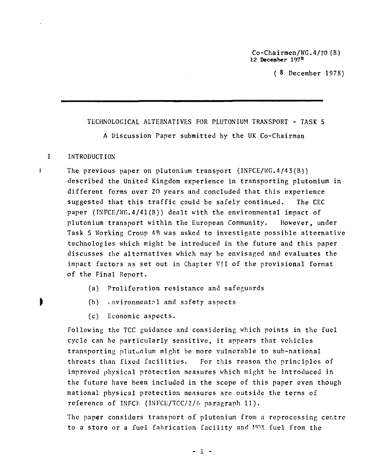Co-Chairmen/WG.4/70 (B) **12 December 197°** 

( 8 December 1978)

TECHNOLOGICAL ALTERNATIVES FOR PLUTONIUM TRANSPORT - TASK 5 A Discussion Paper submitted by the UK Co-Chairman

#### $\mathbf{1}$ INTRODUCTION

The previous paper on plutonium transport (INFCE/WG.4/43(B)) described the United Kingdom experience in transporting plutonium in different forms over 20 years and concluded that this experience suggested that this traffic could be safely continued. The CEC paper (INFCE/WG.4/41(B)) dealt with the environmental impact of plutonium transport within the European Community. However, under Task 5 Working Croup 4B was asked to investigate possible alternative technologies which might be introduced in the future and this paper discusses the alternatives which may be envisaged and evaluates the impact factors as set out in Chapter VII of the provisional format of the Final Report.

(a) Proliferation resistance and safeguards

(b) i.nvironmental and safety aspects

١

- 
- (c) Economic aspects.

Following the TCC guidance and considering which points in the fuel cycle can be particularly sensitive, it appears that vehicles transporting plutonium might be more vulnerable to sub-national threats than fixed facilities. For this reason the principles of improved physical protection measures which might be introduced in the future have been included in the scope of this paper even though national physical protection measures are outside the terms of reference of INFCH (INFCE/TCC/2/6 paragraph 11).

The paper considers transport of plutonium from a reprocessing centre to a store or a fuel fabrication facility and MOX fuel from the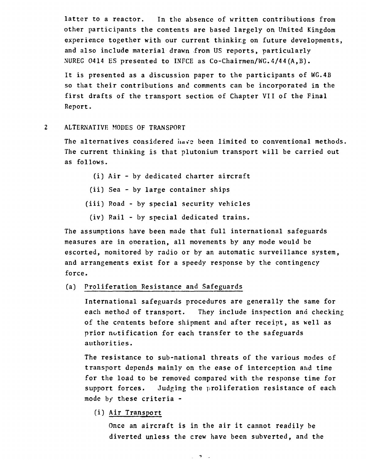latter to a reactor. In the absence of written contributions from other participants the contents are based largely on United Kingdom experience together with our current thinking on future developments, and also include material drawn from US reports, particularly NUREG 0414 ES presented to INFCE as Co-Chairmen/WG.4/44(A,B).

It is presented as a discussion paper to the participants of WG.4B so that their contributions and comments can be incorporated in the first drafts of the transport section of Chapter VII of the Final Report.

 $2<sup>1</sup>$ ALTERNATIVE MODES OF TRANSPORT

> The alternatives considered have been limited to conventional methods. The current thinking is that plutonium transport will be carried out as follows.

- (i) Air by dedicated charter aircraft
- (ii) Sea by large container ships
- (iii) Road by special security vehicles
	- (iv) Rail by special dedicated trains.

The assumptions have been made that full international safeguards measures are in operation, all movements by any mode would be escorted, monitored by radio or by an automatic surveillance system, and arrangements exist for a speedy response by the contingency force.

(a) Proliferation Resistance and Safeguards

International safeguards procedures are generally the same for each method of transport. They include inspection and checking of the contents before shipment and after receipt, as well as prior notification for each transfer to the safeguards authorities.

The resistance to sub-national threats of the various modes of transport depends mainly on the ease of interception and time for the load to be removed compared with the response time for support forces. Judging the proliferation resistance of each mode by these criteria -

(i) Air Transport

Once an aircraft is in the air it cannot readily be diverted unless the crew have been subverted, and the

> $\mathcal{L}$  $\overline{\phantom{a}}$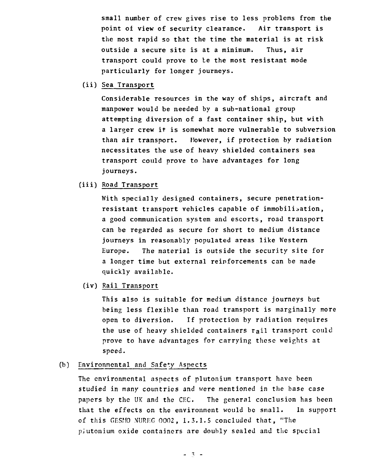small number of crew gives rise to less problems from the point of view of security clearance. Air transport is the most rapid so that the time the material is at risk outside a secure site is at a minimum. Thus, air transport could prove to te the most resistant mode particularly for longer journeys.

(ii) Sea Transport

Considerable resources in the way of ships, aircraft and manpower would be needed by a sub-national group attempting diversion of a fast container ship, but with a larger crew it is somewhat more vulnerable to subversion than air transport. However, if protection by radiation necessitates the use of heavy shielded containers sea transport could prove to have advantages for long journeys.

# (iii) Road Transport

With specially designed containers, secure penetrationresistant transport vehicles capable of immobilisation, a good communication system and escorts, road transport can be regarded as secure for short to medium distance journeys in reasonably populated areas like Western Europe. The material is outside the security site for a longer time but external reinforcements can be made quickly available.

(iv) Rail Transport

This also is suitable for medium distance journeys but being less flexible than road transport is marginally more open to diversion. If protection by radiation requires the use of heavy shielded containers rail transport could prove to have advantages for carrying these weights at speed.

#### Environmental and Safety Aspects  $(b)$

The environmental aspects of plutonium transport have been studied in many countries and were mentioned in the base case papers by the UK and the CEC. The general conclusion has been that the effects on the environment would be small. In support of this GESMO NUREG 0002, 1.3.1.5 concluded that, "The pJutonium oxide containers are doubly sealed and the special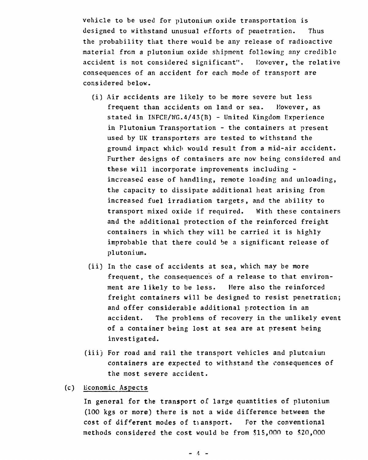vehicle to be used for plutonium oxide transportation is designed to withstand unusual efforts of penetration. Thus the probability that there would be any release of radioactive material from a plutonium oxide shipment following any credible accident is not considered significant". However, the relative consequences of an accident for each mode of transport are considered below.

- (i) Air accidents are likely to be more severe but less frequent than accidents on land or sea. However, as stated in INFCE/WG.4/43(B) - United Kingdom Experience in Plutonium Transportation - the containers at present used by UK transporters are tested to withstand the ground impact which would result from a mid-air accident. Further designs of containers are now being considered and these will incorporate improvements including increased ease of handling, remote loading and unloading, the capacity to dissipate additional heat arising from increased fuel irradiation targets, and the ability to transport mixed oxide if required. With these containers and the additional protection of the reinforced freight containers in which they will be carried it is highly improbable that there could be a significant release of plutonium.
- (ii) In the case of accidents at sea, which may be more frequent, the consequences of a release to that environment are likely to be less. Here also the reinforced freight containers will be designed to resist penetration; and offer considerable additional protection in an accident. The problems of recovery in the unlikely event of a container being lost at sea are at present being investigated.
- (iii) For road and rail the transport vehicles and plutcniun containers are expected to withstand the consequences of the most severe accident.
- Economic Aspects  $(c)$

In general for the transport of large quantities of plutonium (100 kgs or more) there is not a wide difference between the cost of different modes of transport. For the conventional methods considered the cost would be from \$15,000 to \$20,000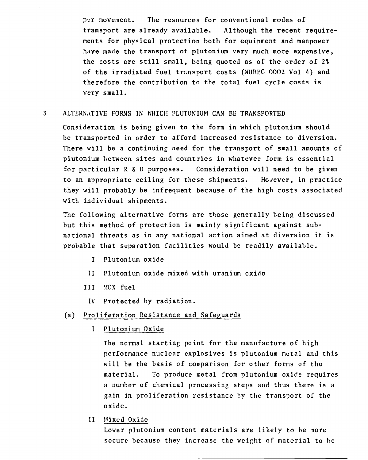por movement. The resources for conventional modes of transport are already available. Although the recent requirements for physical protection both for equipment and manpower have made the transport of plutonium very much more expensive, the costs are still small, being quoted as of the order of 2% of the irradiated fuel transport costs (NUREG 0002 Vol 4) and therefore the contribution to the total fuel cycle costs is very small.

# 3 ALTERNATIVE FORMS IN WHICH PLUTONIUM CAN BE TRANSPORTED

Consideration is being given to the form in which plutonium should be transported in order to afford increased resistance to diversion. There will be a continuing need for the transport of small amounts of plutonium between sites and countries in whatever form is essential for particular R& D purposes. Consideration will need to be given to an appropriate ceiling for these shipments. However, in practice they will probably be infrequent because of the high costs associated with individual shipments.

The following alternative forms are those generally being discussed but this method of protection is mainly significant against subnational threats as in any national action aimed at diversion it is probable that separation facilities would be readily available.

- I Plutonium oxide
- II Plutonium oxide mixed with uranium oxide
- III MOX fuel
	- IV Protected by radiation.

# (a) Proliferation Resistance and Safeguards

I Plutonium Oxide

The normal starting point for the manufacture of high performance nuclear explosives is plutonium metal and this will be the basis of comparison for other forms of the material. To produce metal from plutonium oxide requires a number of chemical processing steps and thus there is a gain in proliferation resistance by the transport of the oxide.

II Mixed Oxide

Lower plutonium content materials are likely to be more secure because they increase the weight of material to be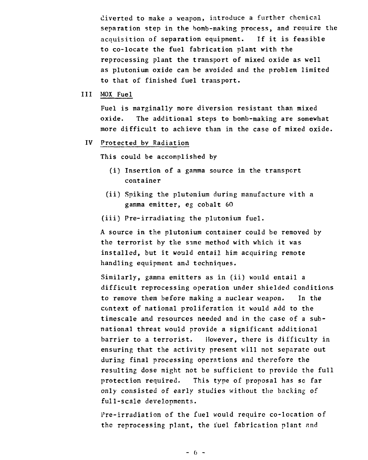diverted to make a weapon, introduce a further chemical separation step in the bomb-making process, and require the acquisition of separation equipment. If it is feasible to co-locate the fuel fabrication plant with the reprocessing plant the transport of mixed oxide as well as plutonium oxide can be avoided and the problem limited to that of finished fuel transport.

#### $111$ MOX Fuel

Fuel is marginally more diversion resistant than mixed oxide. The additional steps to bomb-making are somewhat more difficult to achieve than in the case of mixed oxide.

#### Protected by Radiation  $IV$

This could be accomplished by

- (i) Insertion of a gamma source in the transport container
- (ii) Spiking the plutonium during manufacture with a gamma emitter, eg cobalt 60

(iii) Pre-irradiating the plutonium fuel.

A source in the plutonium container could be removed by the terrorist by the same method with which it was installed, but it would entail him acquiring remote handling equipment and techniques.

Similarly, gamma emitters as in (ii) would entail a difficult reprocessing operation under shielded conditions to remove them before making a nuclear weapon. In the context of national proliferation it would add to the timescale and resources needed and in the case of a subnational threat would provide a significant additional barrier to a terrorist. However, there is difficulty in ensuring that the activity present will not separate out during final processing operations and therefore the resulting dose might not be sufficient to provide the full protection required. This type of proposal has so far only consisted of early studies without the backing of full-scale developments.

l're-irradiation of the fuel would require co-location of the reprocessing plant, the fuel fabrication plant and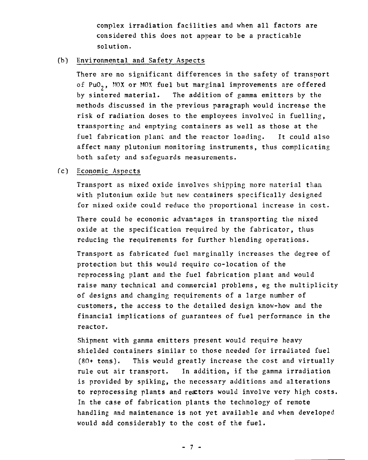complex irradiation facilities and when all factors are considered this does not appear to be a practicable solution.

## (b) Environmental and Safety Aspects

There are no significant differences in the safety of transport of PuO<sub>2</sub>, MOX or MOX fuel but marginal improvements are offered by sintered material. The addition of gamma emitters by the methods discussed in the previous paragraph would increase the risk of radiation doses to the employees involved in fuelling, transporting and emptying containers as well as those at the fuel fabrication plant and the reactor loading. It could also affect many plutonium monitoring instruments, thus complicating both safety and safeguards measurements.

# *(c)* Economic Aspects

Transport as mixed oxide involves shipping more material than with plutonium oxide but new containers specifically designed for mixed oxide could reduce the proportional increase in cost.

There could be economic advantages in transporting the mixed oxide at the specification required by the fabricator, thus reducing the requirements for further blending operations.

Transport as fabricated fuel marginally increases the degree of protection but this would require co-location of the reprocessing plant and the fuel fabrication plant and would raise many technical and commercial problems, eg the multiplicity of designs and changing requirements of a large number of customers, the access to the detailed design know-how and the financial implications of guarantees of fuel performance in the reactor.

Shipment with gamma emitters present would require heavy shielded containers similar to those needed for irradiated fuel (80+ tons). This would greatly increase the cost and virtually rule out air transport. In addition, if the gamma irradiation is provided by spiking, the necessary additions and alterations to reprocessing plants and reactors would involve very high costs. In the case of fabrication plants the technology of remote handling and maintenance is not yet available and when developed would add considerably to the cost of the fuel.

- 7 -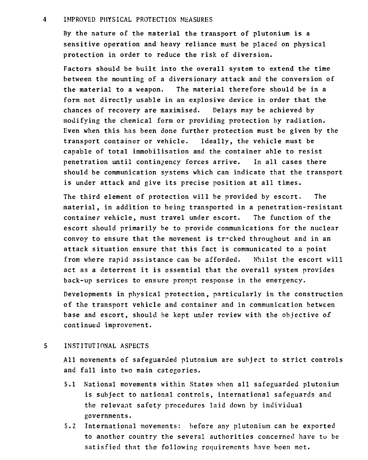## 4 IMPROVED PHYSICAL PROTECTION MEASURES

By the nature of the material the transport of plutonium is a sensitive operation and heavy reliance must be placed on physical protection in order to reduce the risk of diversion.

Factors should be built into the overall system to extend the time between the mounting of a diversionary attack and the conversion of the material to a weapon. The material therefore should be in a form not directly usable in an explosive device in order that the chances of recovery are maximised. Delays may be achieved by modifying the chemical form or providing protection by radiation. Even when this has been done further protection must be given by the transport container or vehicle. Ideally, the vehicle must be capable of total immobilisation and the container able to resist penetration until contingency forces arrive. In all cases there should be communication systems which can indicate that the transport is under attack and give its precise position at all times.

The third element of protection will be provided by escort. The material, in addition to being transported in a penetration-resistant container vehicle, must travel under escort. The function of the escort should primarily be to provide communications for the nuclear convoy to ensure that the movement is tracked throughout and in an attack situation ensure that this fact is communicated to a point from where rapid assistance can be afforded. Whilst the escort will act as a deterrent it is essential that the overall system provides back-up services to ensure prompt response in the emergency.

Developments in physical protection, particularly in the construction of the transport vehicle and container and in communication between base and escort, should be kept under review with the objective of continued improvement.

## 5 INSTITUTIONAL ASPECTS

All movements of safeguarded plutonium are subject to strict controls and fall into two main categories.

- 5.1 National movements within States when all safeguarded plutonium is subject to national controls, international safeguards and the relevant safety procedures laid down by individual governments.
- 5.2 International movements: before any plutonium can be exported to another country the several authorities concerned have to be satisfied that the following requirements have been met.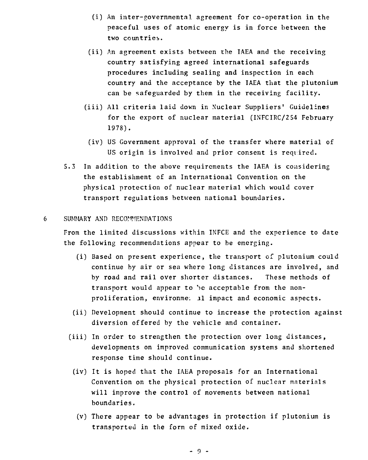- (i) An inter-governmental agreement for co-operation in the peaceful uses of atomic energy is in force between the two countries.
- (ii) An agreement exists between the IAEA and the receiving country satisfying agreed international safeguards procedures including sealing and inspection in each country and the acceptance by the IAEA that the plutonium can be safeguarded by them in the receiving facility.
- (iii) All criteria laid down in Nuclear Suppliers' Guidelines for the export of nuclear material (INFCIRC/254 February 1978).
- (iv) US Government approval of the transfer where material of US origin is involved and prior consent is required.
- 5.3 In addition to the above requirements the IAEA is considering the establishment of an International Convention on the physical protection of nuclear material which would cover transport regulations between national boundaries.

#### SUMMARY AND RECOMMENDATIONS 6

From the limited discussions within INFCE and the experience to date the following recommendations appear to be emerging.

- (i) Based on present experience, the transport of plutonium could continue by air or sea where long distances are involved, and by road and rail over shorter distances. These methods of transport would appear to be acceptable from the nonproliferation, environme. il impact and economic aspects.
- (ii) Development should continue to increase the protection against diversion offered by the vehicle and container.
- (iii) In order to strengthen the protection over long distances, developments on improved communication systems and shortened response time should continue.
- (iv) It is hoped that the IAEA proposals for an International Convention on the physical protection of nuclear materials will improve the control of movements between national boundaries.
	- (v) There appear to be advantages in protection if plutonium is transported in the form of mixed oxide.